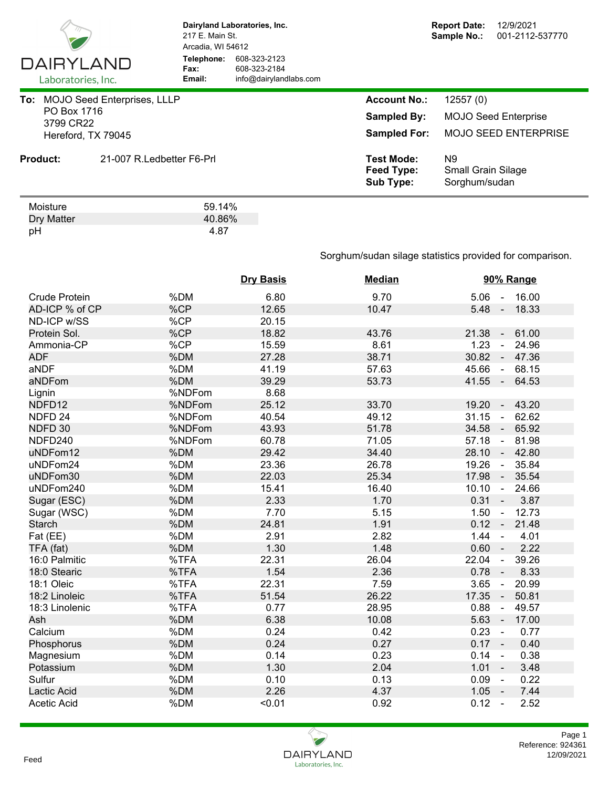

Dry Matter 40.86%<br>pH 4.87 pH 4.87

**Dairyland Laboratories, Inc.** 217 E. Main St. Arcadia, WI 54612 **Telephone:** 608-323-2123 **Fax:** 608-323-2184<br> **Email:** info@dairyland **Email:** info@dairylandlabs.com

|                 |                                                                                                                 | <b>Account No.:</b>                                 | 12557(0)                                         |
|-----------------|-----------------------------------------------------------------------------------------------------------------|-----------------------------------------------------|--------------------------------------------------|
|                 |                                                                                                                 | <b>Sampled By:</b>                                  | <b>MOJO Seed Enterprise</b>                      |
|                 | To: MOJO Seed Enterprises, LLLP<br>PO Box 1716<br>3799 CR22<br>Hereford, TX 79045<br>21-007 R. Ledbetter F6-Prl | <b>Sampled For:</b>                                 | <b>MOJO SEED ENTERPRISE</b>                      |
| <b>Product:</b> |                                                                                                                 | <b>Test Mode:</b><br>Feed Type:<br><b>Sub Type:</b> | N9<br><b>Small Grain Silage</b><br>Sorghum/sudan |
| Moisture        | 59.14%                                                                                                          |                                                     |                                                  |

Sorghum/sudan silage statistics provided for comparison.

|                      |        | <b>Dry Basis</b> | <b>Median</b> | 90% Range                        |
|----------------------|--------|------------------|---------------|----------------------------------|
| <b>Crude Protein</b> | %DM    | 6.80             | 9.70          | $5.06 - 16.00$                   |
| AD-ICP % of CP       | %CP    | 12.65            | 10.47         | $5.48 -$<br>18.33                |
| ND-ICP w/SS          | %CP    | 20.15            |               |                                  |
| Protein Sol.         | %CP    | 18.82            | 43.76         | 21.38<br>61.00<br>$\sim$         |
| Ammonia-CP           | %CP    | 15.59            | 8.61          | 1.23<br>24.96<br>$\blacksquare$  |
| <b>ADF</b>           | %DM    | 27.28            | 38.71         | 30.82<br>47.36<br>$\blacksquare$ |
| aNDF                 | %DM    | 41.19            | 57.63         | 45.66<br>68.15<br>$\sim$         |
| aNDFom               | %DM    | 39.29            | 53.73         | $41.55 -$<br>64.53               |
| Lignin               | %NDFom | 8.68             |               |                                  |
| NDFD12               | %NDFom | 25.12            | 33.70         | 19.20<br>43.20<br>$\sim$         |
| NDFD <sub>24</sub>   | %NDFom | 40.54            | 49.12         | 31.15<br>62.62<br>$\blacksquare$ |
| NDFD 30              | %NDFom | 43.93            | 51.78         | 34.58<br>65.92<br>$\sim$         |
| NDFD240              | %NDFom | 60.78            | 71.05         | 57.18<br>81.98<br>$\blacksquare$ |
| uNDFom12             | %DM    | 29.42            | 34.40         | 28.10<br>42.80<br>$\sim$         |
| uNDFom24             | %DM    | 23.36            | 26.78         | 19.26<br>35.84<br>$\sim$         |
| uNDFom30             | %DM    | 22.03            | 25.34         | 17.98<br>35.54<br>$\sim$         |
| uNDFom240            | %DM    | 15.41            | 16.40         | 10.10<br>24.66<br>$\sim$         |
| Sugar (ESC)          | %DM    | 2.33             | 1.70          | $0.31 -$<br>3.87                 |
| Sugar (WSC)          | %DM    | 7.70             | 5.15          | 1.50<br>12.73<br>$\blacksquare$  |
| <b>Starch</b>        | %DM    | 24.81            | 1.91          | $0.12 -$<br>21.48                |
| Fat (EE)             | %DM    | 2.91             | 2.82          | 1.44<br>4.01<br>$\blacksquare$   |
| TFA (fat)            | %DM    | 1.30             | 1.48          | 0.60<br>2.22<br>$\sim$           |
| 16:0 Palmitic        | %TFA   | 22.31            | 26.04         | 22.04<br>39.26<br>$\omega$       |
| 18:0 Stearic         | %TFA   | 1.54             | 2.36          | 0.78<br>8.33<br>$\blacksquare$   |
| 18:1 Oleic           | %TFA   | 22.31            | 7.59          | 3.65<br>20.99<br>$\blacksquare$  |
| 18:2 Linoleic        | %TFA   | 51.54            | 26.22         | 17.35<br>50.81<br>$\blacksquare$ |
| 18:3 Linolenic       | %TFA   | 0.77             | 28.95         | 0.88<br>49.57<br>$\blacksquare$  |
| Ash                  | %DM    | 6.38             | 10.08         | 5.63<br>17.00<br>$\sim$          |
| Calcium              | %DM    | 0.24             | 0.42          | 0.23<br>0.77<br>$\sim$           |
| Phosphorus           | %DM    | 0.24             | 0.27          | $0.17 -$<br>0.40                 |
| Magnesium            | %DM    | 0.14             | 0.23          | 0.38<br>0.14<br>$\sim$           |
| Potassium            | %DM    | 1.30             | 2.04          | 1.01<br>3.48<br>$\sim$           |
| Sulfur               | %DM    | 0.10             | 0.13          | 0.09<br>0.22<br>$\sim$           |
| Lactic Acid          | %DM    | 2.26             | 4.37          | 1.05<br>7.44<br>$\sim$ $-$       |
| <b>Acetic Acid</b>   | %DM    | < 0.01           | 0.92          | 0.12<br>2.52<br>$\sim$           |